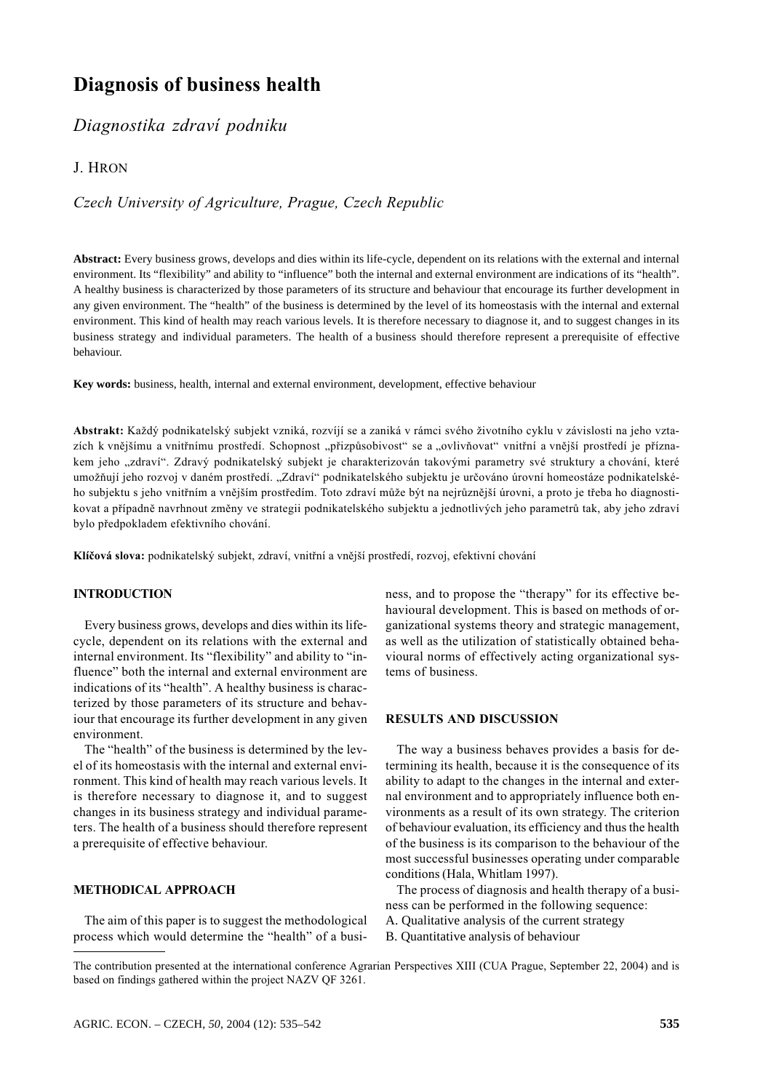# **Diagnosis of business health**

# Diagnostika zdraví podniku

# J. HRON

# Czech University of Agriculture, Prague, Czech Republic

**Abstract:** Every business grows, develops and dies within its life-cycle, dependent on its relations with the external and internal environment. Its "flexibility" and ability to "influence" both the internal and external environment are indications of its "health". A healthy business is characterized by those parameters of its structure and behaviour that encourage its further development in any given environment. The "health" of the business is determined by the level of its homeostasis with the internal and external environment. This kind of health may reach various levels. It is therefore necessary to diagnose it, and to suggest changes in its business strategy and individual parameters. The health of a business should therefore represent a prerequisite of effective behaviour.

**Key words:** business, health, internal and external environment, development, effective behaviour

Abstrakt: Každý podnikatelský subjekt vzniká, rozvíjí se a zaniká v rámci svého životního cyklu v závislosti na jeho vztazích k vnějšímu a vnitřnímu prostředí. Schopnost "přizpůsobivost" se a "ovlivňovat" vnitřní a vnější prostředí je příznakem jeho "zdraví". Zdravý podnikatelský subjekt je charakterizován takovými parametry své struktury a chování, které umožňují jeho rozvoj v daném prostředí. "Zdraví" podnikatelského subjektu je určováno úrovní homeostáze podnikatelského subjektu s jeho vnitřním a vnějším prostředím. Toto zdraví může být na nejrůznější úrovni, a proto je třeba ho diagnostikovat a případně navrhnout změny ve strategii podnikatelského subjektu a jednotlivých jeho parametrů tak, aby jeho zdraví bylo předpokladem efektivního chování.

Klíčová slova: podnikatelský subjekt, zdraví, vnitřní a vnější prostředí, rozvoj, efektivní chování

#### **INTRODUCTION**

Every business grows, develops and dies within its lifecycle, dependent on its relations with the external and internal environment. Its "flexibility" and ability to "influence" both the internal and external environment are indications of its "health". A healthy business is characterized by those parameters of its structure and behaviour that encourage its further development in any given environment.

The "health" of the business is determined by the level of its homeostasis with the internal and external environment. This kind of health may reach various levels. It is therefore necessary to diagnose it, and to suggest changes in its business strategy and individual parameters. The health of a business should therefore represent a prerequisite of effective behaviour.

#### METHODICAL APPROACH

The aim of this paper is to suggest the methodological process which would determine the "health" of a business, and to propose the "therapy" for its effective behavioural development. This is based on methods of organizational systems theory and strategic management, as well as the utilization of statistically obtained behavioural norms of effectively acting organizational systems of business.

#### **RESULTS AND DISCUSSION**

The way a business behaves provides a basis for determining its health, because it is the consequence of its ability to adapt to the changes in the internal and external environment and to appropriately influence both environments as a result of its own strategy. The criterion of behaviour evaluation, its efficiency and thus the health of the business is its comparison to the behaviour of the most successful businesses operating under comparable conditions (Hala, Whitlam 1997).

The process of diagnosis and health therapy of a business can be performed in the following sequence:

- A. Qualitative analysis of the current strategy
- B. Quantitative analysis of behaviour

The contribution presented at the international conference Agrarian Perspectives XIII (CUA Prague, September 22, 2004) and is based on findings gathered within the project NAZV QF 3261.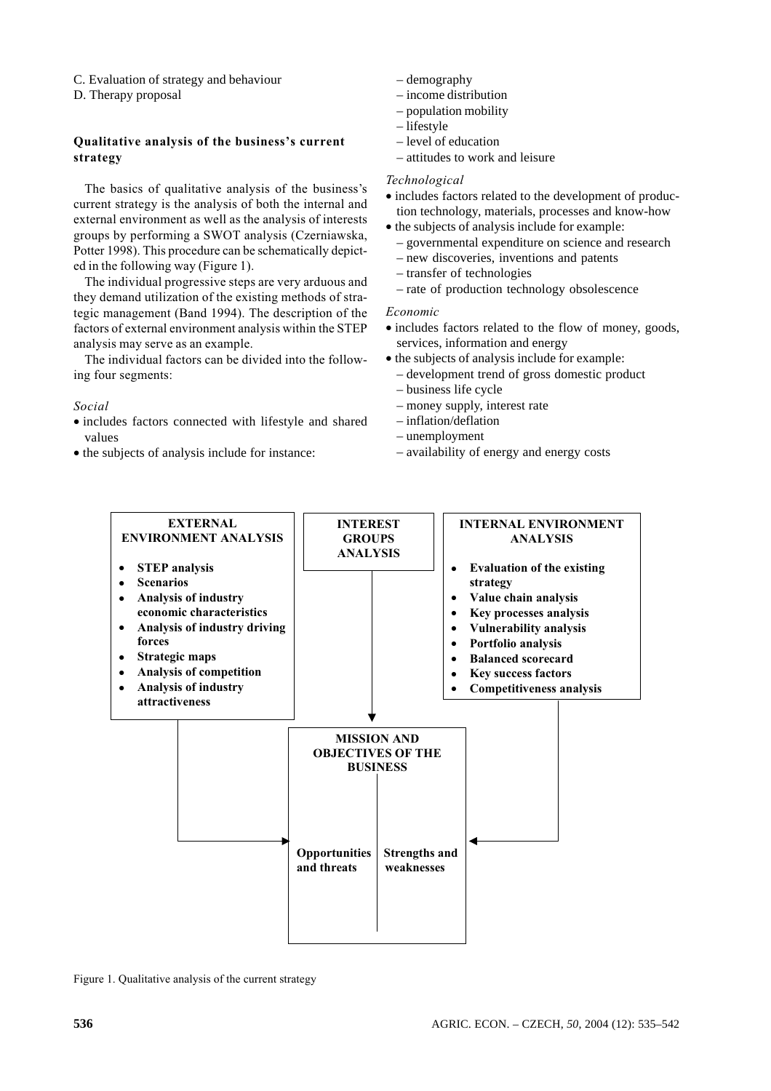- C. Evaluation of strategy and behaviour
- D. Therapy proposal

# **Oualitative analysis of the business's current** strategy

The basics of qualitative analysis of the business's current strategy is the analysis of both the internal and external environment as well as the analysis of interests groups by performing a SWOT analysis (Czerniawska, Potter 1998). This procedure can be schematically depicted in the following way (Figure 1).

The individual progressive steps are very arduous and they demand utilization of the existing methods of strategic management (Band 1994). The description of the factors of external environment analysis within the STEP analysis may serve as an example.

The individual factors can be divided into the following four segments:

# Social

- · includes factors connected with lifestyle and shared values
- the subjects of analysis include for instance:
- $-\text{demography}$
- $-$  income distribution
- $-$  population mobility
- $-$ lifestyle
- $-$  level of education
- $=$  attitudes to work and leisure

# Technological

- includes factors related to the development of production technology, materials, processes and know-how
- the subjects of analysis include for example:
	- governmental expenditure on science and research
	- new discoveries, inventions and patents
	- transfer of technologies
	- rate of production technology obsolescence

# Economic

- includes factors related to the flow of money, goods, services, information and energy
- the subjects of analysis include for example:
	- development trend of gross domestic product
	- business life cycle
	- money supply, interest rate
	- $-$  inflation/deflation
	- $-$ unemployment
	- availability of energy and energy costs



Figure 1. Qualitative analysis of the current strategy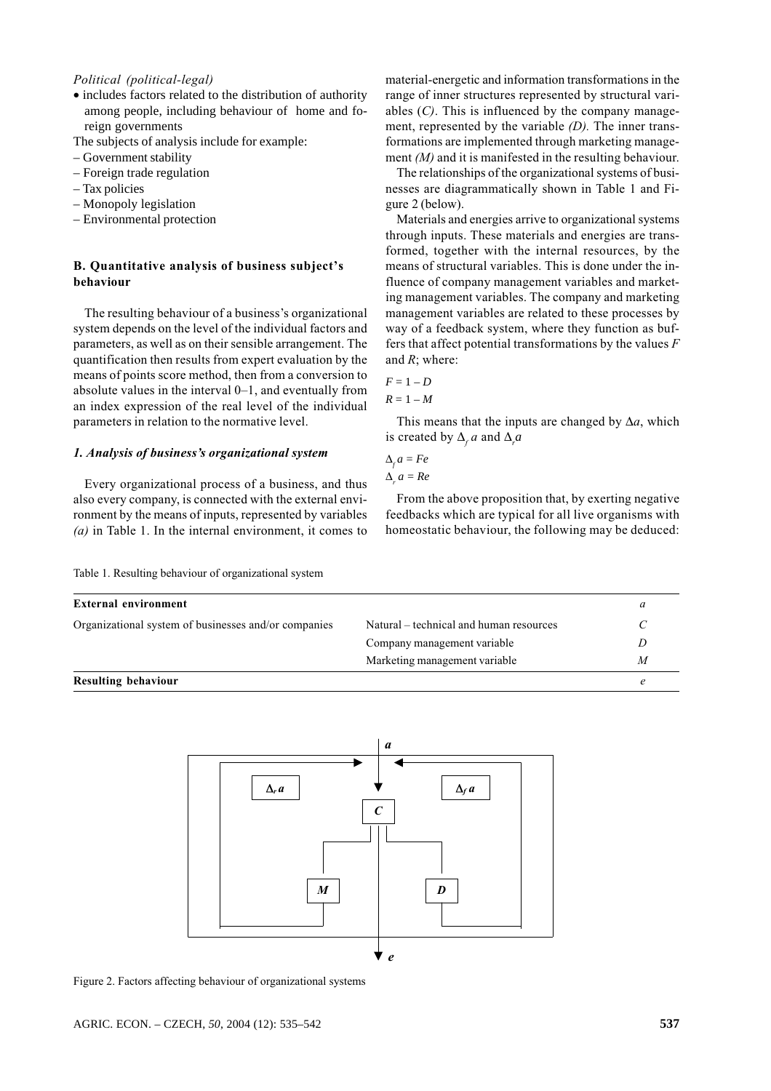### Political (political-legal)

• includes factors related to the distribution of authority among people, including behaviour of home and foreign governments

The subjects of analysis include for example:

- Government stability
- $-$  Foreign trade regulation
- $-$  Tax policies
- $-$  Monopoly legislation
- Environmental protection

# **B.** Ouantitative analysis of business subject's hehaviour

The resulting behaviour of a business's organizational system depends on the level of the individual factors and parameters, as well as on their sensible arrangement. The quantification then results from expert evaluation by the means of points score method, then from a conversion to absolute values in the interval  $0-1$ , and eventually from an index expression of the real level of the individual parameters in relation to the normative level.

## 1. Analysis of business's organizational system

Every organizational process of a business, and thus also every company, is connected with the external environment by the means of inputs, represented by variables (a) in Table 1. In the internal environment, it comes to

material-energetic and information transformations in the range of inner structures represented by structural variables  $(C)$ . This is influenced by the company management, represented by the variable  $(D)$ . The inner transformations are implemented through marketing management  $(M)$  and it is manifested in the resulting behaviour.

The relationships of the organizational systems of businesses are diagrammatically shown in Table 1 and Figure 2 (below).

Materials and energies arrive to organizational systems through inputs. These materials and energies are transformed, together with the internal resources, by the means of structural variables. This is done under the influence of company management variables and marketing management variables. The company and marketing management variables are related to these processes by way of a feedback system, where they function as buffers that affect potential transformations by the values  $F$ and  $R$ : where:

$$
F = 1 - D
$$

$$
R = 1 - M
$$

This means that the inputs are changed by  $\Delta a$ , which is created by  $\Delta_{c} a$  and  $\Delta_{c} a$ 

$$
\Delta_f a = Fe
$$
  

$$
\Delta_a a = Re
$$

From the above proposition that, by exerting negative feedbacks which are typical for all live organisms with homeostatic behaviour, the following may be deduced:

| rapid 1. Resulting behaviour of organizational system |  |  |
|-------------------------------------------------------|--|--|
|                                                       |  |  |
|                                                       |  |  |

Table 1 Resulting behaviour of organizational system

| External environment                                 |                                         | a |
|------------------------------------------------------|-----------------------------------------|---|
| Organizational system of businesses and/or companies | Natural – technical and human resources |   |
|                                                      | Company management variable             | D |
|                                                      | Marketing management variable           | M |
| Resulting behaviour                                  |                                         |   |



Figure 2. Factors affecting behaviour of organizational systems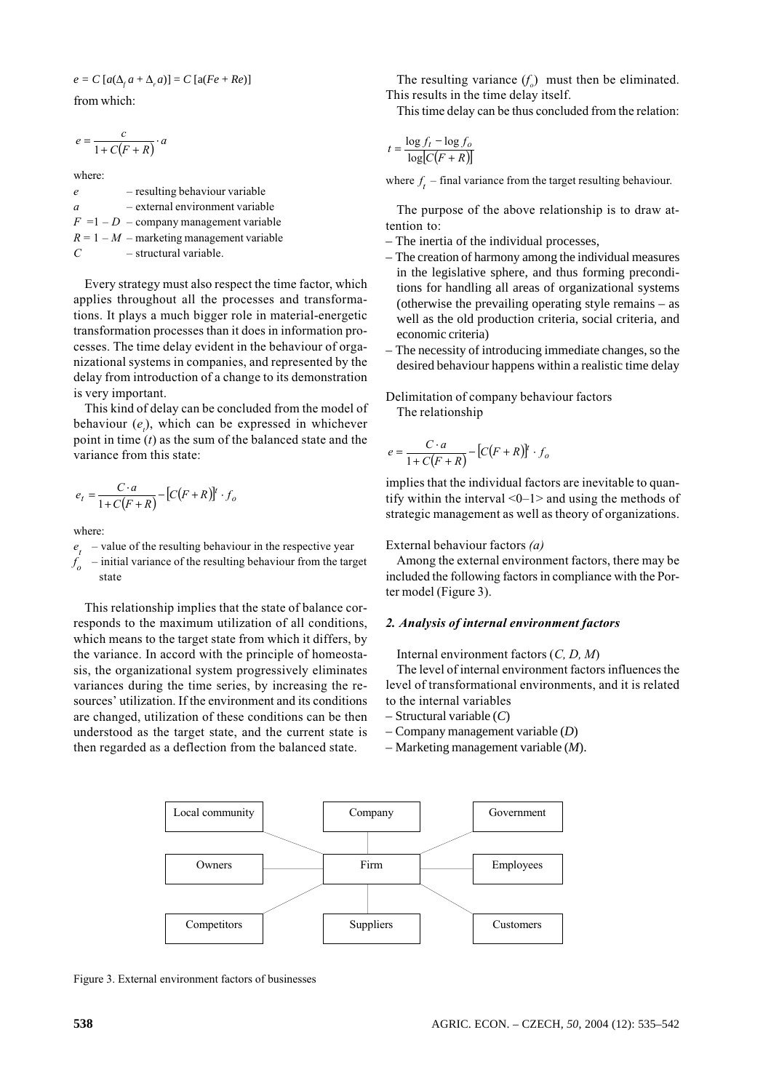$e = C [a(\Delta_c a + \Delta_a a)] = C [a(Fe + Re)]$ 

from which:

$$
e = \frac{c}{1 + C(F + R)} \cdot a
$$

where:

 $e$  – resulting behaviour variable a – external environment variable  $F = 1 - D$  – company management variable  $R = 1 - M$  – marketing management variable  $C \rightarrow$  structural variable.

Every strategy must also respect the time factor, which applies throughout all the processes and transformations. It plays a much bigger role in material-energetic transformation processes than it does in information processes. The time delay evident in the behaviour of organizational systems in companies, and represented by the delay from introduction of a change to its demonstration is very important.

This kind of delay can be concluded from the model of behaviour  $(e_i)$ , which can be expressed in whichever point in time  $(t)$  as the sum of the balanced state and the variance from this state:

$$
e_t = \frac{C \cdot a}{1 + C(F + R)} - [C(F + R)]^t \cdot f_o
$$

where:

- $e_t$  value of the resulting behaviour in the respective year
- $f_{\rho}$  initial variance of the resulting behaviour from the target state

This relationship implies that the state of balance corresponds to the maximum utilization of all conditions, which means to the target state from which it differs, by the variance. In accord with the principle of homeostasis, the organizational system progressively eliminates variances during the time series, by increasing the resources' utilization. If the environment and its conditions are changed, utilization of these conditions can be then understood as the target state, and the current state is then regarded as a deflection from the balanced state.

The resulting variance  $(f_o)$  must then be eliminated. This results in the time delay itself.

This time delay can be thus concluded from the relation:

$$
t = \frac{\log f_t - \log f_o}{\log [C(F + R)]}
$$

where  $f_t$  – final variance from the target resulting behaviour.

The purpose of the above relationship is to draw attention to:

- The inertia of the individual processes,
- The creation of harmony among the individual measures in the legislative sphere, and thus forming preconditions for handling all areas of organizational systems (otherwise the prevailing operating style remains – as well as the old production criteria, social criteria, and economic criteria)
- The necessity of introducing immediate changes, so the desired behaviour happens within a realistic time delay

# Delimitation of company behaviour factors The relationship

$$
e = \frac{C \cdot a}{1 + C(F + R)} - [C(F + R)]^{t} \cdot f_{o}
$$

implies that the individual factors are inevitable to quantify within the interval  $\leq 0$ –1> and using the methods of strategic management as well as theory of organizations.

#### External behaviour factors (a)

Among the external environment factors, there may be included the following factors in compliance with the Porter model (Figure 3).

#### 2. Analysis of internal environment factors

Internal environment factors  $(C, D, M)$ 

The level of internal environment factors influences the level of transformational environments, and it is related to the internal variables

- Structural variable (*C*)
- Company management variable (*D*)
- Marketing management variable (*M*).



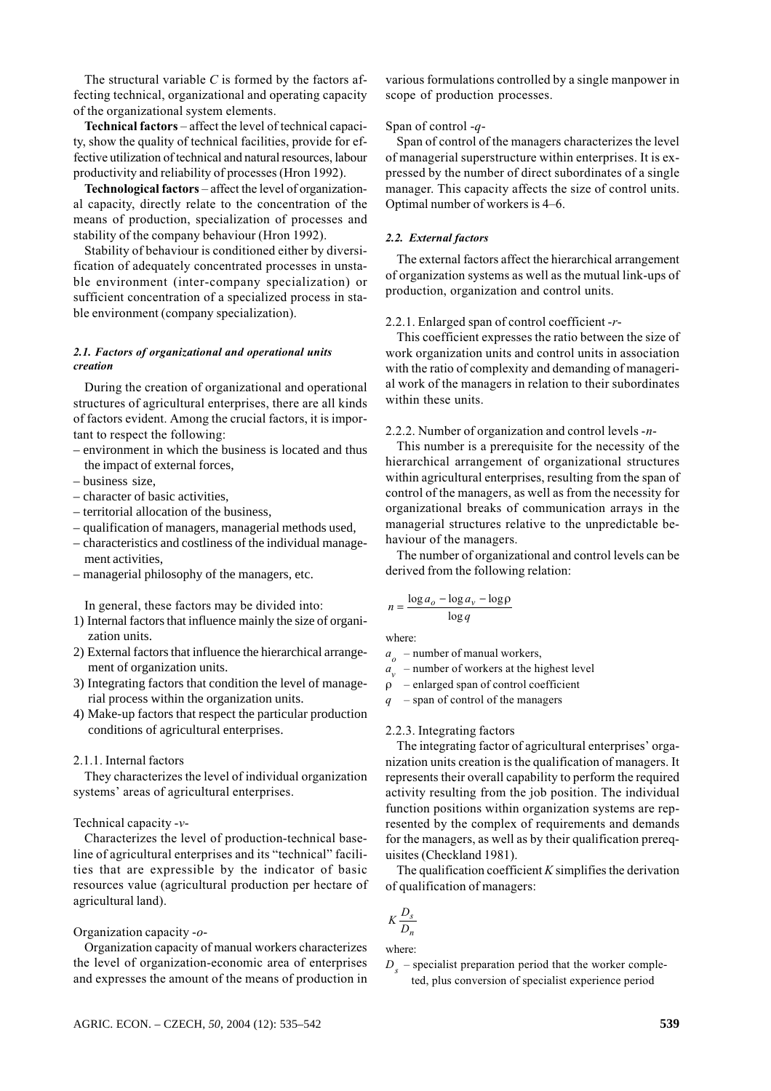The structural variable  $C$  is formed by the factors affecting technical, organizational and operating capacity of the organizational system elements.

Technical factors – affect the level of technical capacity, show the quality of technical facilities, provide for effective utilization of technical and natural resources, labour productivity and reliability of processes (Hron 1992).

Technological factors – affect the level of organizational capacity, directly relate to the concentration of the means of production, specialization of processes and stability of the company behaviour (Hron 1992).

Stability of behaviour is conditioned either by diversification of adequately concentrated processes in unstable environment (inter-company specialization) or sufficient concentration of a specialized process in stable environment (company specialization).

#### 2.1. Factors of organizational and operational units creation

During the creation of organizational and operational structures of agricultural enterprises, there are all kinds of factors evident. Among the crucial factors, it is important to respect the following:

- environment in which the business is located and thus the impact of external forces.
- $-$  business size.
- $-$  character of basic activities.
- territorial allocation of the business,
- qualification of managers, managerial methods used.
- characteristics and costliness of the individual management activities.
- managerial philosophy of the managers, etc.

In general, these factors may be divided into:

- 1) Internal factors that influence mainly the size of organization units.
- 2) External factors that influence the hierarchical arrangement of organization units.
- 3) Integrating factors that condition the level of managerial process within the organization units.
- 4) Make-up factors that respect the particular production conditions of agricultural enterprises.

# 2.1.1. Internal factors

They characterizes the level of individual organization systems' areas of agricultural enterprises.

#### Technical capacity  $-v$

Characterizes the level of production-technical baseline of agricultural enterprises and its "technical" facilities that are expressible by the indicator of basic resources value (agricultural production per hectare of agricultural land).

#### Organization capacity  $-o-$

Organization capacity of manual workers characterizes the level of organization-economic area of enterprises and expresses the amount of the means of production in various formulations controlled by a single manpower in scope of production processes.

#### Span of control  $-q$ -

Span of control of the managers characterizes the level of managerial superstructure within enterprises. It is expressed by the number of direct subordinates of a single manager. This capacity affects the size of control units. Optimal number of workers is 4–6.

#### 2.2. External factors

The external factors affect the hierarchical arrangement of organization systems as well as the mutual link-ups of production, organization and control units.

#### 2.2.1. Enlarged span of control coefficient -r-

This coefficient expresses the ratio between the size of work organization units and control units in association with the ratio of complexity and demanding of managerial work of the managers in relation to their subordinates within these units.

#### 2.2.2. Number of organization and control levels  $-n-$

This number is a prerequisite for the necessity of the hierarchical arrangement of organizational structures within agricultural enterprises, resulting from the span of control of the managers, as well as from the necessity for organizational breaks of communication arrays in the managerial structures relative to the unpredictable behaviour of the managers.

The number of organizational and control levels can be derived from the following relation:

$$
n = \frac{\log a_o - \log a_v - \log \rho}{\log q}
$$

where:

 $a_{\rho}$  – number of manual workers,

 $a_{v}$  – number of workers at the highest level

 $\rho$  – enlarged span of control coefficient

 $-$  span of control of the managers

#### 2.2.3. Integrating factors

The integrating factor of agricultural enterprises' organization units creation is the qualification of managers. It represents their overall capability to perform the required activity resulting from the job position. The individual function positions within organization systems are represented by the complex of requirements and demands for the managers, as well as by their qualification prerequisites (Checkland 1981).

The qualification coefficient  $K$  simplifies the derivation of qualification of managers:

$$
K\frac{D_s}{D_n}
$$

where:

 $D<sub>s</sub>$  – specialist preparation period that the worker completed, plus conversion of specialist experience period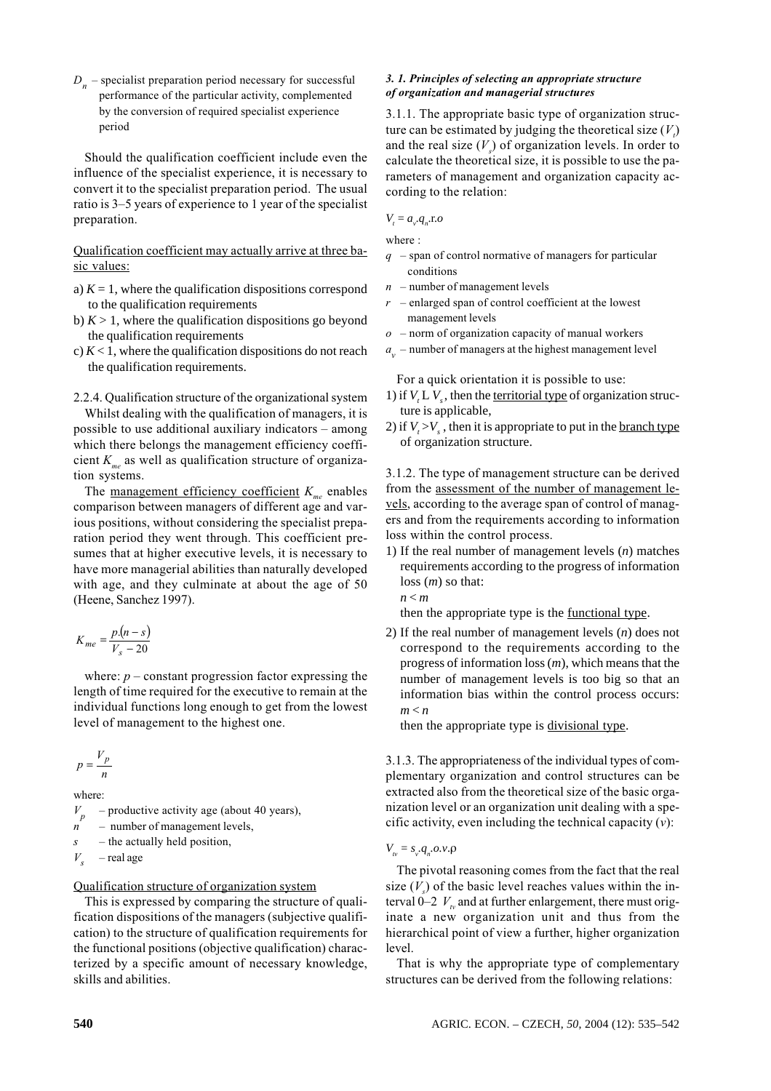$D_n$  – specialist preparation period necessary for successful performance of the particular activity, complemented by the conversion of required specialist experience period

Should the qualification coefficient include even the influence of the specialist experience, it is necessary to convert it to the specialist preparation period. The usual ratio is 3–5 years of experience to 1 year of the specialist preparation.

# Qualification coefficient may actually arrive at three basic values:

- a)  $K = 1$ , where the qualification dispositions correspond to the qualification requirements
- b)  $K > 1$ , where the qualification dispositions go beyond the qualification requirements
- c)  $K < 1$ , where the qualification dispositions do not reach the qualification requirements.
- 2.2.4. Qualification structure of the organizational system

Whilst dealing with the qualification of managers, it is possible to use additional auxiliary indicators - among which there belongs the management efficiency coefficient  $K_{me}$  as well as qualification structure of organization systems.

The <u>management efficiency coefficient</u>  $K_{me}$  enables comparison between managers of different age and various positions, without considering the specialist preparation period they went through. This coefficient presumes that at higher executive levels, it is necessary to have more managerial abilities than naturally developed with age, and they culminate at about the age of 50 (Heene, Sanchez 1997).

$$
K_{me} = \frac{p.(n-s)}{V_s - 20}
$$

where:  $p$  – constant progression factor expressing the length of time required for the executive to remain at the individual functions long enough to get from the lowest level of management to the highest one.

$$
p = \frac{V_p}{n}
$$

where:

 $V_p$ p - productive activity age (about 40 years),

 $n$  – number of management levels,

 $s$  – the actually held position,

$$
V_s \quad -\text{real age}
$$

### Qualification structure of organization system

This is expressed by comparing the structure of qualification dispositions of the managers (subjective qualification) to the structure of qualification requirements for the functional positions (objective qualification) characterized by a specific amount of necessary knowledge, skills and abilities.

#### 3. 1. Principles of selecting an appropriate structure of organization and managerial structures

3.1.1. The appropriate basic type of organization structure can be estimated by judging the theoretical size  $(V_i)$ and the real size  $(V_s)$  of organization levels. In order to calculate the theoretical size, it is possible to use the parameters of management and organization capacity according to the relation:

$$
V_t = a_v.q_n.\mathbf{r}.o
$$

where:

- $q$  span of control normative of managers for particular conditions
- $n$  number of management levels
- $r$  enlarged span of control coefficient at the lowest management levels
- $\sigma$  norm of organization capacity of manual workers
- $a_{v}$  number of managers at the highest management level

For a quick orientation it is possible to use:

- 1) if  $V<sub>i</sub> L V<sub>s</sub>$ , then the <u>territorial type</u> of organization structure is applicable,
- 2) if  $V_r > V_s$ , then it is appropriate to put in the <u>branch type</u> of organization structure.

3.1.2. The type of management structure can be derived from the assessment of the number of management levels, according to the average span of control of managers and from the requirements according to information loss within the control process.

1) If the real number of management levels (*n*) matches requirements according to the progress of information loss (*m*) so that:

$$
n < m
$$

then the appropriate type is the functional type.

2) If the real number of management levels (*n*) does not correspond to the requirements according to the progress of information loss (*m*), which means that the number of management levels is too big so that an information bias within the control process occurs: *m* < *n*

then the appropriate type is divisional type.

3.1.3. The appropriateness of the individual types of complementary organization and control structures can be extracted also from the theoretical size of the basic organization level or an organization unit dealing with a specific activity, even including the technical capacity  $(v)$ :

# *V<sub>tv</sub>* = *s<sub>v</sub>*.*q<sub>n</sub>*.*o*.*v*.ρ

The pivotal reasoning comes from the fact that the real size  $(V_s)$  of the basic level reaches values within the interval 0–2  $V_{\nu}$  and at further enlargement, there must originate a new organization unit and thus from the hierarchical point of view a further, higher organization level.

That is why the appropriate type of complementary structures can be derived from the following relations: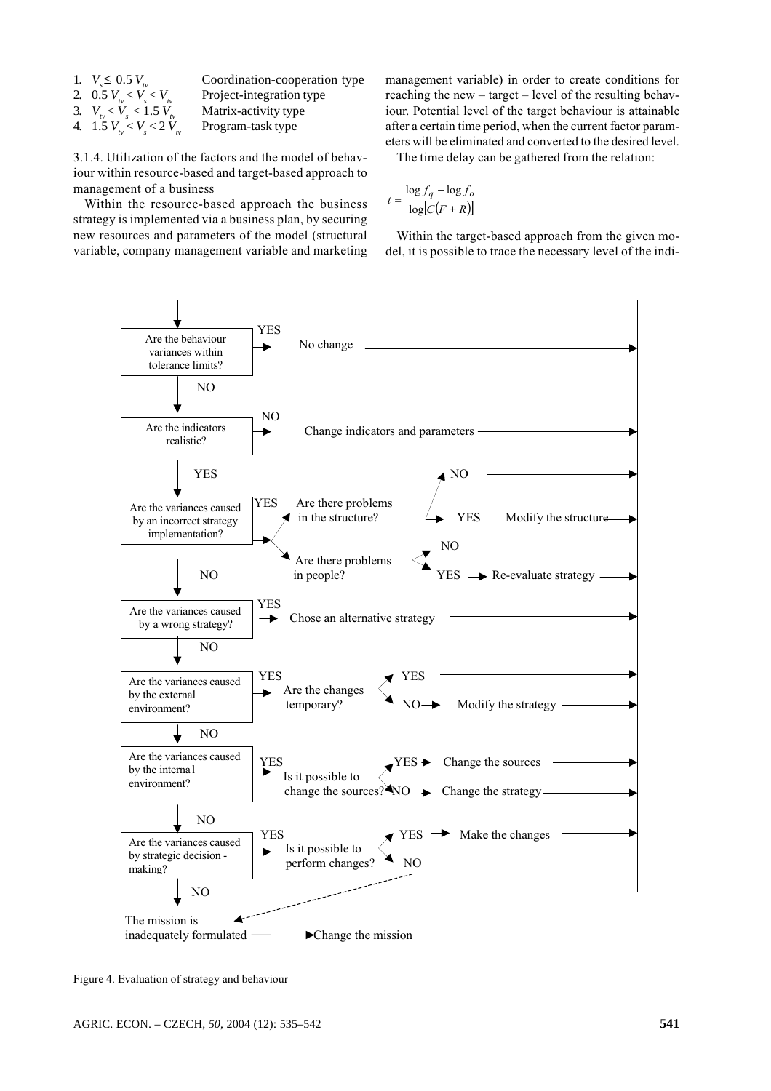1.  $V \leq 0.5 V$ 2. 0.5  $V_{\text{m}} < V < V$ 3.  $V_{\nu} < V_{s} < 1.5 V_{t}$ 4. 1.5  $V_{1v} < V_s < 2 V_{1v}$  Coordination-cooperation type Project-integration type Matrix-activity type Program-task type

3.1.4. Utilization of the factors and the model of behaviour within resource-based and target-based approach to management of a business

Within the resource-based approach the business strategy is implemented via a business plan, by securing new resources and parameters of the model (structural variable, company management variable and marketing management variable) in order to create conditions for reaching the new  $-$  target  $-$  level of the resulting behaviour. Potential level of the target behaviour is attainable after a certain time period, when the current factor parameters will be eliminated and converted to the desired level.

The time delay can be gathered from the relation:

$$
t = \frac{\log f_q - \log f_o}{\log [C(F + R)]}
$$

Within the target-based approach from the given model, it is possible to trace the necessary level of the indi-



Figure 4. Evaluation of strategy and behaviour